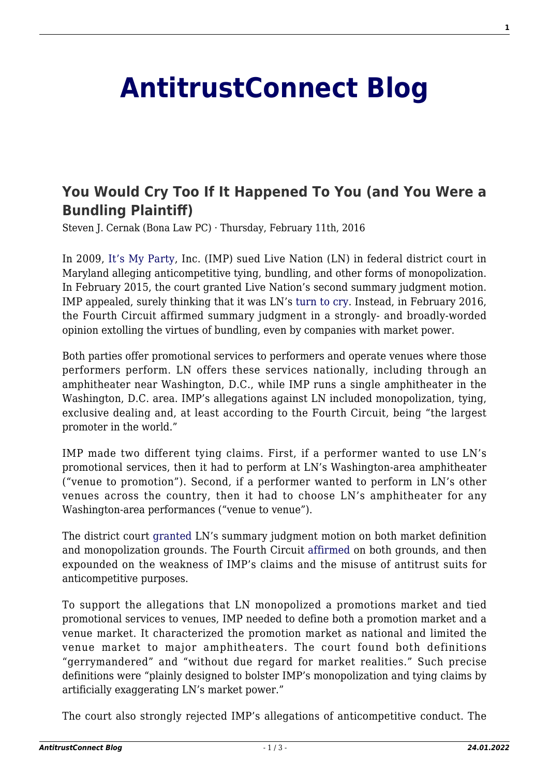## **[AntitrustConnect Blog](http://antitrustconnect.com/)**

## **[You Would Cry Too If It Happened To You \(and You Were a](http://antitrustconnect.com/2016/02/11/you-would-cry-too-if-it-happened-to-you-and-you-were-a-bundling-plaintiff/) [Bundling Plaintiff\)](http://antitrustconnect.com/2016/02/11/you-would-cry-too-if-it-happened-to-you-and-you-were-a-bundling-plaintiff/)**

Steven J. Cernak (Bona Law PC) · Thursday, February 11th, 2016

In 2009, [It's My Party,](https://en.wikipedia.org/wiki/It's_My_Party_%28Lesley_Gore_song%29) Inc. (IMP) sued Live Nation (LN) in federal district court in Maryland alleging anticompetitive tying, bundling, and other forms of monopolization. In February 2015, the court granted Live Nation's second summary judgment motion. IMP appealed, surely thinking that it was LN's [turn to cry](https://en.wikipedia.org/wiki/Judy's_Turn_to_Cry). Instead, in February 2016, the Fourth Circuit affirmed summary judgment in a strongly- and broadly-worded opinion extolling the virtues of bundling, even by companies with market power.

Both parties offer promotional services to performers and operate venues where those performers perform. LN offers these services nationally, including through an amphitheater near Washington, D.C., while IMP runs a single amphitheater in the Washington, D.C. area. IMP's allegations against LN included monopolization, tying, exclusive dealing and, at least according to the Fourth Circuit, being "the largest promoter in the world."

IMP made two different tying claims. First, if a performer wanted to use LN's promotional services, then it had to perform at LN's Washington-area amphitheater ("venue to promotion"). Second, if a performer wanted to perform in LN's other venues across the country, then it had to choose LN's amphitheater for any Washington-area performances ("venue to venue").

The district court [granted](http://business.cch.com/ald/ItsMyPartyLiveNation2192015.pdf) LN's summary judgment motion on both market definition and monopolization grounds. The Fourth Circuit [affirmed](http://business.cch.com/ald/ItsMyPartyvLiveNation242016.pdf) on both grounds, and then expounded on the weakness of IMP's claims and the misuse of antitrust suits for anticompetitive purposes.

To support the allegations that LN monopolized a promotions market and tied promotional services to venues, IMP needed to define both a promotion market and a venue market. It characterized the promotion market as national and limited the venue market to major amphitheaters. The court found both definitions "gerrymandered" and "without due regard for market realities." Such precise definitions were "plainly designed to bolster IMP's monopolization and tying claims by artificially exaggerating LN's market power."

The court also strongly rejected IMP's allegations of anticompetitive conduct. The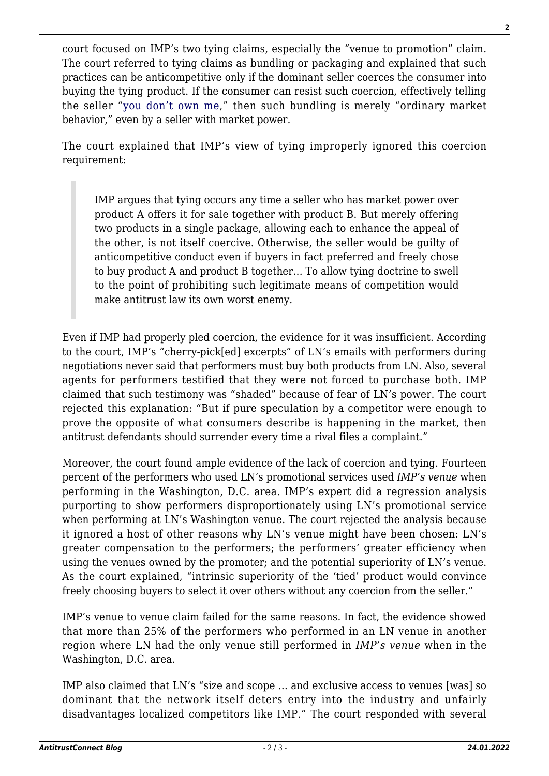court focused on IMP's two tying claims, especially the "venue to promotion" claim. The court referred to tying claims as bundling or packaging and explained that such practices can be anticompetitive only if the dominant seller coerces the consumer into buying the tying product. If the consumer can resist such coercion, effectively telling the seller "[you don't own me](https://en.wikipedia.org/wiki/You_Don't_Own_Me)," then such bundling is merely "ordinary market behavior," even by a seller with market power.

The court explained that IMP's view of tying improperly ignored this coercion requirement:

IMP argues that tying occurs any time a seller who has market power over product A offers it for sale together with product B. But merely offering two products in a single package, allowing each to enhance the appeal of the other, is not itself coercive. Otherwise, the seller would be guilty of anticompetitive conduct even if buyers in fact preferred and freely chose to buy product A and product B together… To allow tying doctrine to swell to the point of prohibiting such legitimate means of competition would make antitrust law its own worst enemy.

Even if IMP had properly pled coercion, the evidence for it was insufficient. According to the court, IMP's "cherry-pick[ed] excerpts" of LN's emails with performers during negotiations never said that performers must buy both products from LN. Also, several agents for performers testified that they were not forced to purchase both. IMP claimed that such testimony was "shaded" because of fear of LN's power. The court rejected this explanation: "But if pure speculation by a competitor were enough to prove the opposite of what consumers describe is happening in the market, then antitrust defendants should surrender every time a rival files a complaint."

Moreover, the court found ample evidence of the lack of coercion and tying. Fourteen percent of the performers who used LN's promotional services used *IMP's venue* when performing in the Washington, D.C. area. IMP's expert did a regression analysis purporting to show performers disproportionately using LN's promotional service when performing at LN's Washington venue. The court rejected the analysis because it ignored a host of other reasons why LN's venue might have been chosen: LN's greater compensation to the performers; the performers' greater efficiency when using the venues owned by the promoter; and the potential superiority of LN's venue. As the court explained, "intrinsic superiority of the 'tied' product would convince freely choosing buyers to select it over others without any coercion from the seller."

IMP's venue to venue claim failed for the same reasons. In fact, the evidence showed that more than 25% of the performers who performed in an LN venue in another region where LN had the only venue still performed in *IMP's venue* when in the Washington, D.C. area.

IMP also claimed that LN's "size and scope … and exclusive access to venues [was] so dominant that the network itself deters entry into the industry and unfairly disadvantages localized competitors like IMP." The court responded with several

**2**